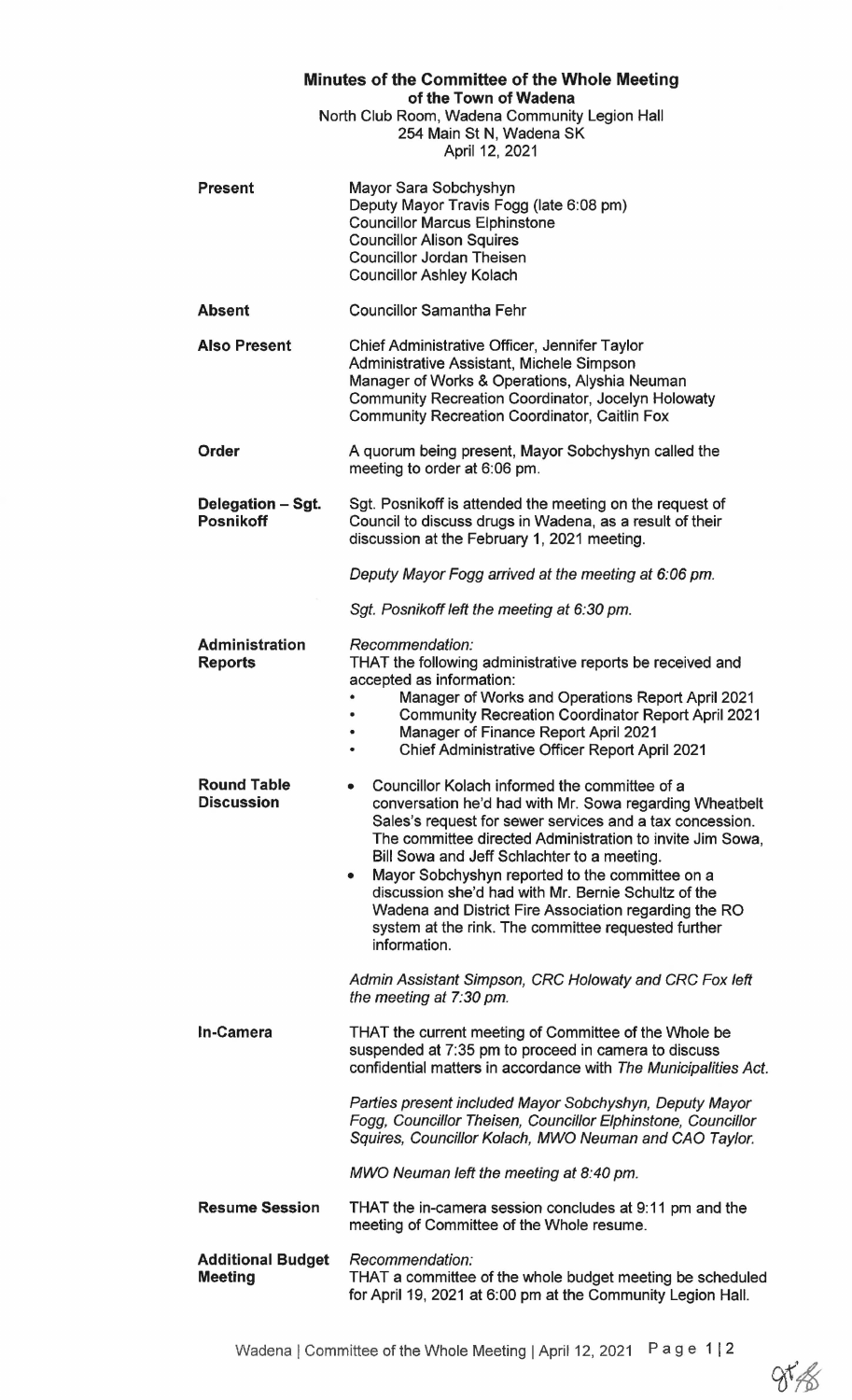| Minutes of the Committee of the Whole Meeting                                                      |                                                                                                                                                                                                                                                                                                                                                                                                                                                                                                                                                                                                                      |
|----------------------------------------------------------------------------------------------------|----------------------------------------------------------------------------------------------------------------------------------------------------------------------------------------------------------------------------------------------------------------------------------------------------------------------------------------------------------------------------------------------------------------------------------------------------------------------------------------------------------------------------------------------------------------------------------------------------------------------|
| of the Town of Wadena<br>North Club Room, Wadena Community Legion Hall<br>254 Main St N, Wadena SK |                                                                                                                                                                                                                                                                                                                                                                                                                                                                                                                                                                                                                      |
| April 12, 2021                                                                                     |                                                                                                                                                                                                                                                                                                                                                                                                                                                                                                                                                                                                                      |
| <b>Present</b>                                                                                     | Mayor Sara Sobchyshyn<br>Deputy Mayor Travis Fogg (late 6:08 pm)<br><b>Councillor Marcus Elphinstone</b><br><b>Councillor Alison Squires</b><br><b>Councillor Jordan Theisen</b><br><b>Councillor Ashley Kolach</b>                                                                                                                                                                                                                                                                                                                                                                                                  |
| <b>Absent</b>                                                                                      | <b>Councillor Samantha Fehr</b>                                                                                                                                                                                                                                                                                                                                                                                                                                                                                                                                                                                      |
| <b>Also Present</b>                                                                                | Chief Administrative Officer, Jennifer Taylor<br>Administrative Assistant, Michele Simpson<br>Manager of Works & Operations, Alyshia Neuman<br>Community Recreation Coordinator, Jocelyn Holowaty<br><b>Community Recreation Coordinator, Caitlin Fox</b>                                                                                                                                                                                                                                                                                                                                                            |
| Order                                                                                              | A quorum being present, Mayor Sobchyshyn called the<br>meeting to order at 6:06 pm.                                                                                                                                                                                                                                                                                                                                                                                                                                                                                                                                  |
| Delegation - Sgt.<br><b>Posnikoff</b>                                                              | Sgt. Posnikoff is attended the meeting on the request of<br>Council to discuss drugs in Wadena, as a result of their<br>discussion at the February 1, 2021 meeting.                                                                                                                                                                                                                                                                                                                                                                                                                                                  |
|                                                                                                    | Deputy Mayor Fogg arrived at the meeting at 6:06 pm.                                                                                                                                                                                                                                                                                                                                                                                                                                                                                                                                                                 |
|                                                                                                    | Sgt. Posnikoff left the meeting at 6:30 pm.                                                                                                                                                                                                                                                                                                                                                                                                                                                                                                                                                                          |
| <b>Administration</b><br><b>Reports</b>                                                            | Recommendation:<br>THAT the following administrative reports be received and<br>accepted as information:<br>Manager of Works and Operations Report April 2021<br><b>Community Recreation Coordinator Report April 2021</b><br>Manager of Finance Report April 2021<br>Chief Administrative Officer Report April 2021                                                                                                                                                                                                                                                                                                 |
| <b>Round Table</b><br><b>Discussion</b>                                                            | Councillor Kolach informed the committee of a<br>۰<br>conversation he'd had with Mr. Sowa regarding Wheatbelt<br>Sales's request for sewer services and a tax concession.<br>The committee directed Administration to invite Jim Sowa,<br>Bill Sowa and Jeff Schlachter to a meeting.<br>Mayor Sobchyshyn reported to the committee on a<br>discussion she'd had with Mr. Bernie Schultz of the<br>Wadena and District Fire Association regarding the RO<br>system at the rink. The committee requested further<br>information.<br>Admin Assistant Simpson, CRC Holowaty and CRC Fox left<br>the meeting at 7:30 pm. |
| <b>In-Camera</b>                                                                                   | THAT the current meeting of Committee of the Whole be<br>suspended at 7:35 pm to proceed in camera to discuss<br>confidential matters in accordance with The Municipalities Act.                                                                                                                                                                                                                                                                                                                                                                                                                                     |
|                                                                                                    | Parties present included Mayor Sobchyshyn, Deputy Mayor<br>Fogg, Councillor Theisen, Councillor Elphinstone, Councillor<br>Squires, Councillor Kolach, MWO Neuman and CAO Taylor.                                                                                                                                                                                                                                                                                                                                                                                                                                    |
|                                                                                                    | MWO Neuman left the meeting at 8:40 pm.                                                                                                                                                                                                                                                                                                                                                                                                                                                                                                                                                                              |
| <b>Resume Session</b>                                                                              | THAT the in-camera session concludes at 9:11 pm and the<br>meeting of Committee of the Whole resume.                                                                                                                                                                                                                                                                                                                                                                                                                                                                                                                 |
| <b>Additional Budget</b><br><b>Meeting</b>                                                         | Recommendation:<br>THAT a committee of the whole budget meeting be scheduled<br>for April 19, 2021 at 6:00 pm at the Community Legion Hall.                                                                                                                                                                                                                                                                                                                                                                                                                                                                          |

 $85%$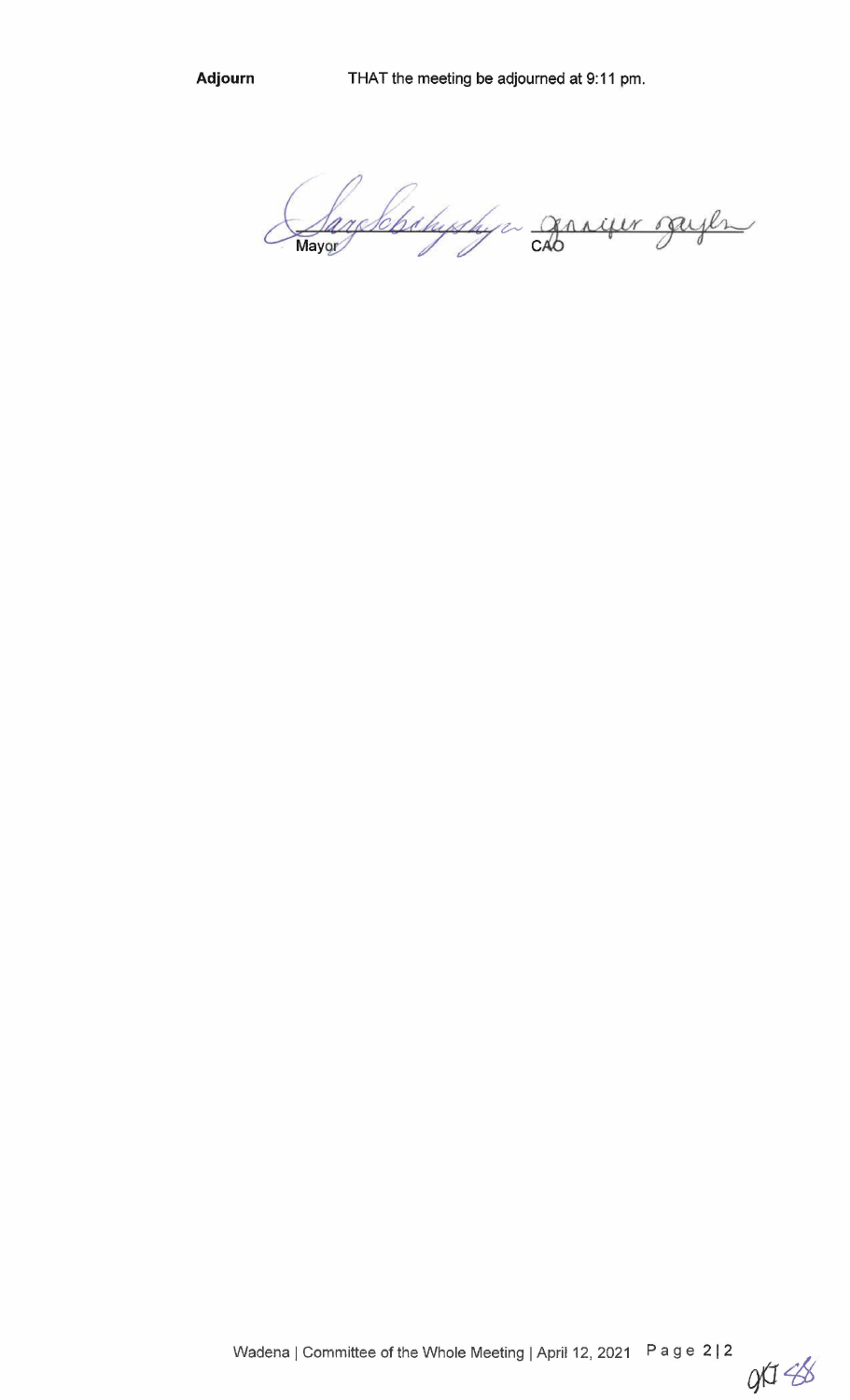Adjourn

archebyshya graver sayer Mayor

 $91438$